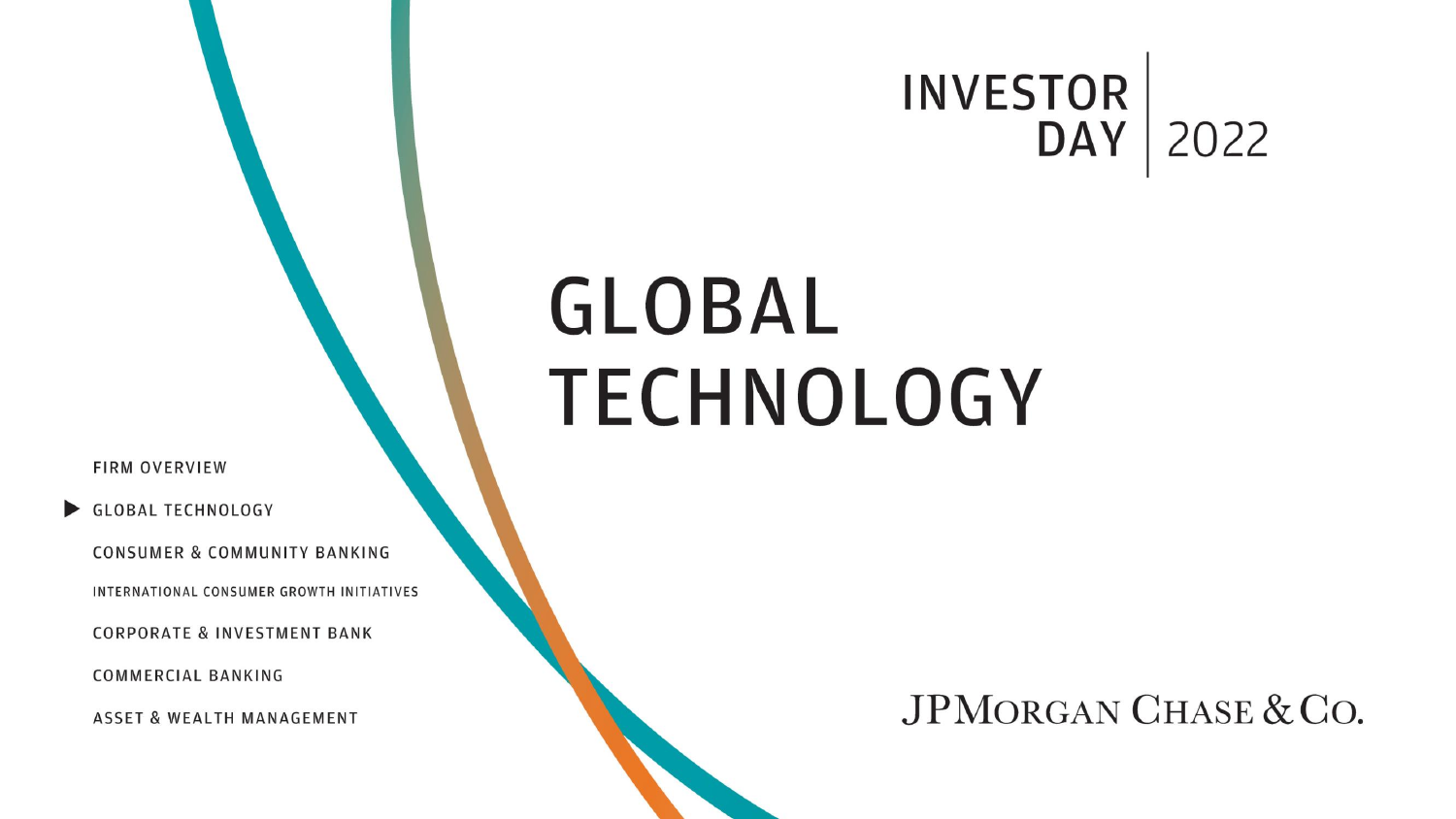## **INVESTOR DAY** | 2022

# **GLOBAL TECHNOLOGY**

**FIRM OVERVIEW** 

GLOBAL TECHNOLOGY

CONSUMER & COMMUNITY BANKING

INTERNATIONAL CONSUMER GROWTH INITIATIVES

**CORPORATE & INVESTMENT BANK** 

**COMMERCIAL BANKING** 

**ASSET & WEALTH MANAGEMENT**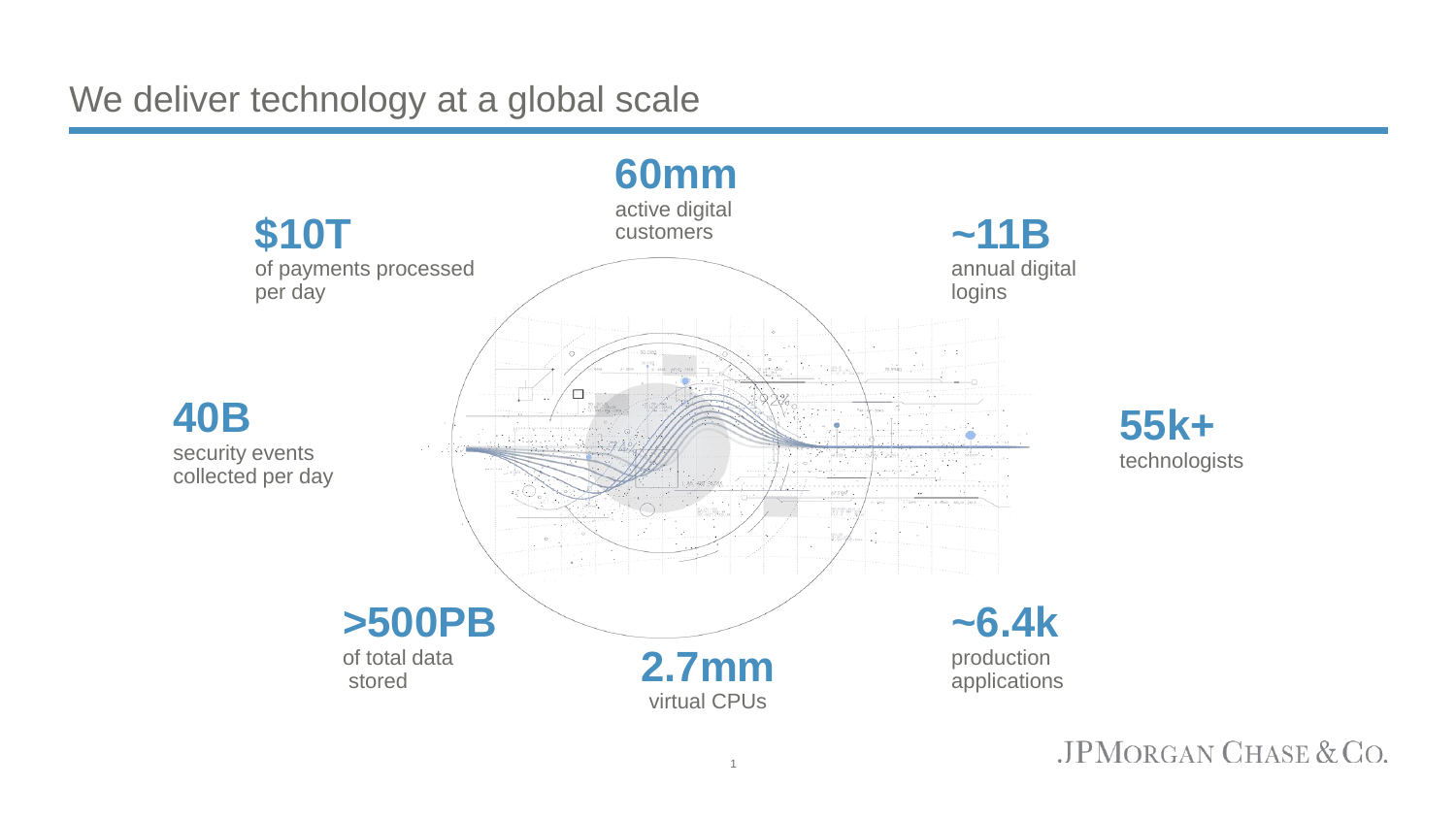We deliver technology at a global scale

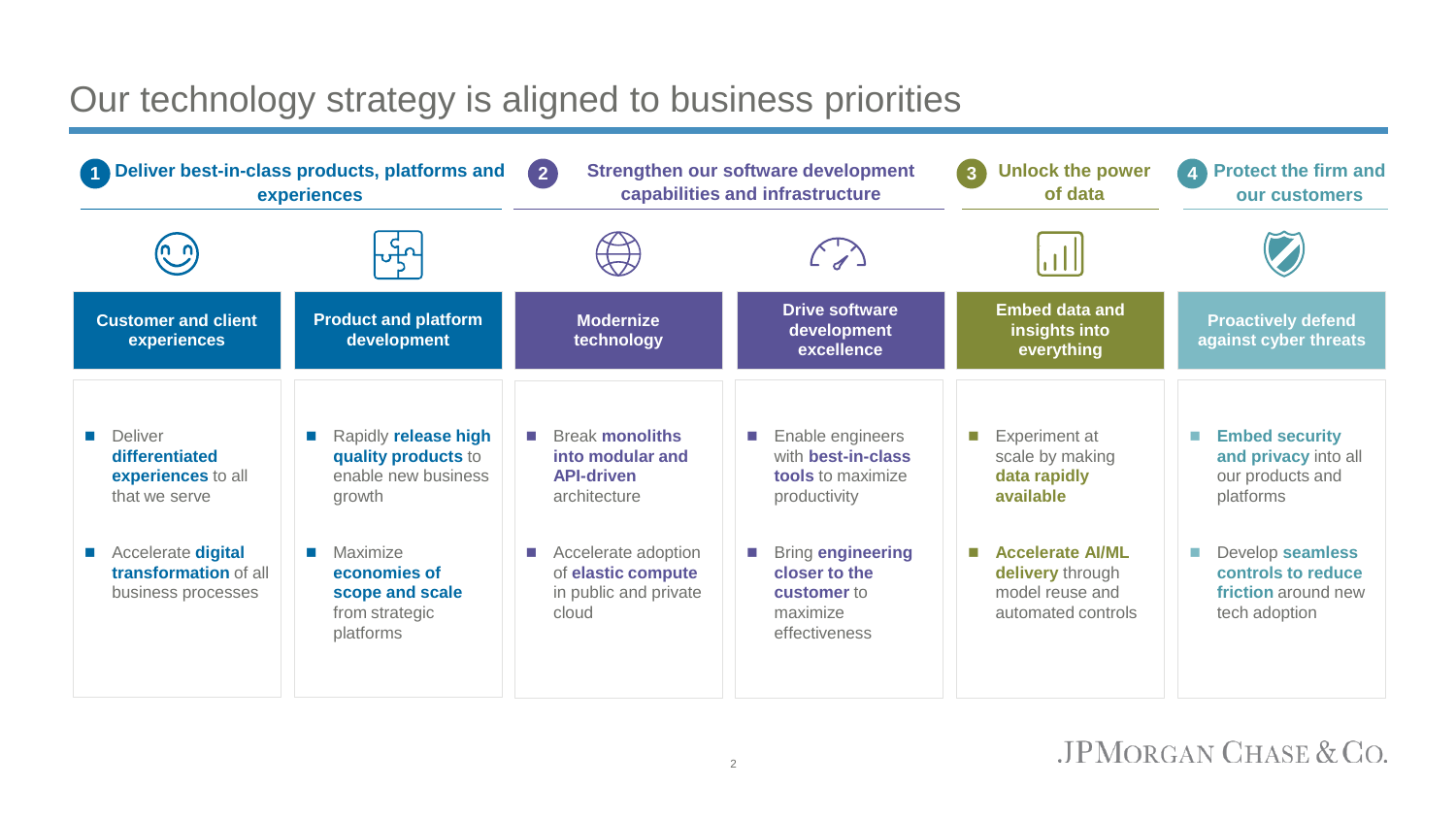#### Our technology strategy is aligned to business priorities

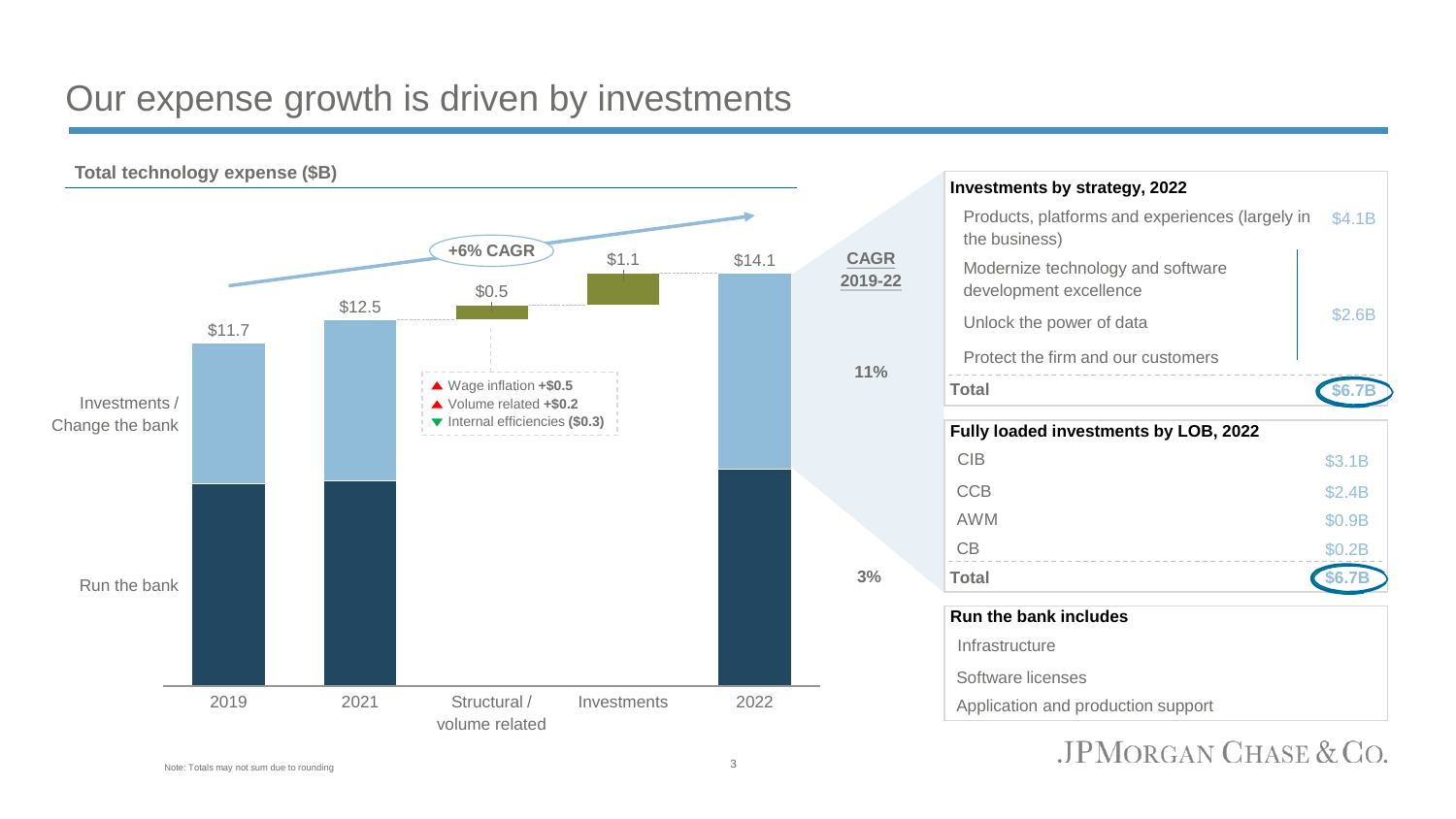#### Our expense growth is driven by investments



**Investments by strategy, 2022** Products, platforms and experiences (largely in the business) \$4.1B Modernize technology and software development excellence Unlock the power of data **EXALL SEALL SEALL SEALL SEALL** \$2.6B Protect the firm and our customers **Total \$6.7B Fully loaded investments by LOB, 2022**  $CIB$   $$3.1B$  $CCB$   $$2.4B$  $\text{AWM}$   $\text{\$0.9B}$  $CB$  \$0.2B **Total \$6.7B Run the bank includes Infrastructure** Software licenses

Application and production support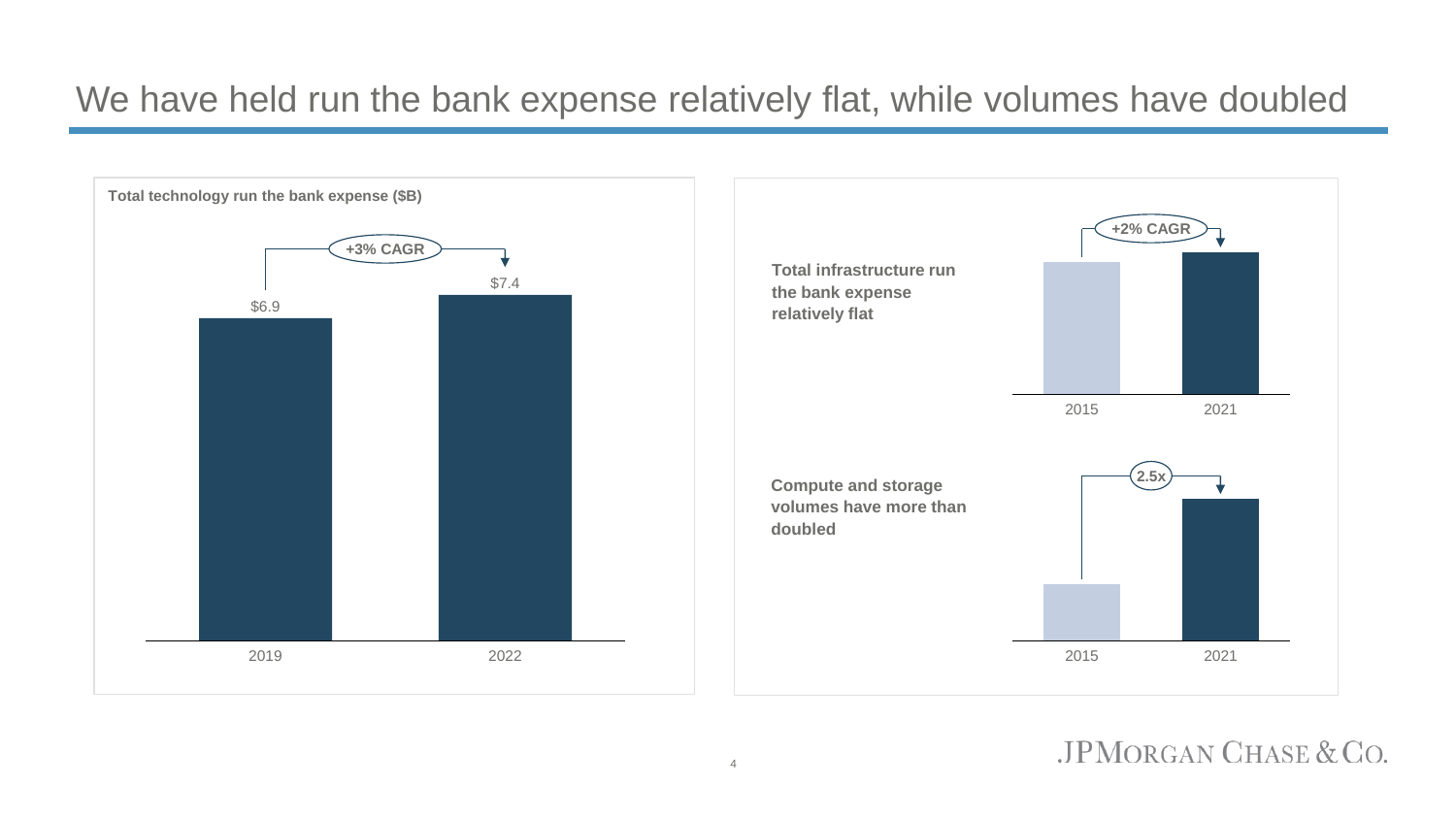#### We have held run the bank expense relatively flat, while volumes have doubled

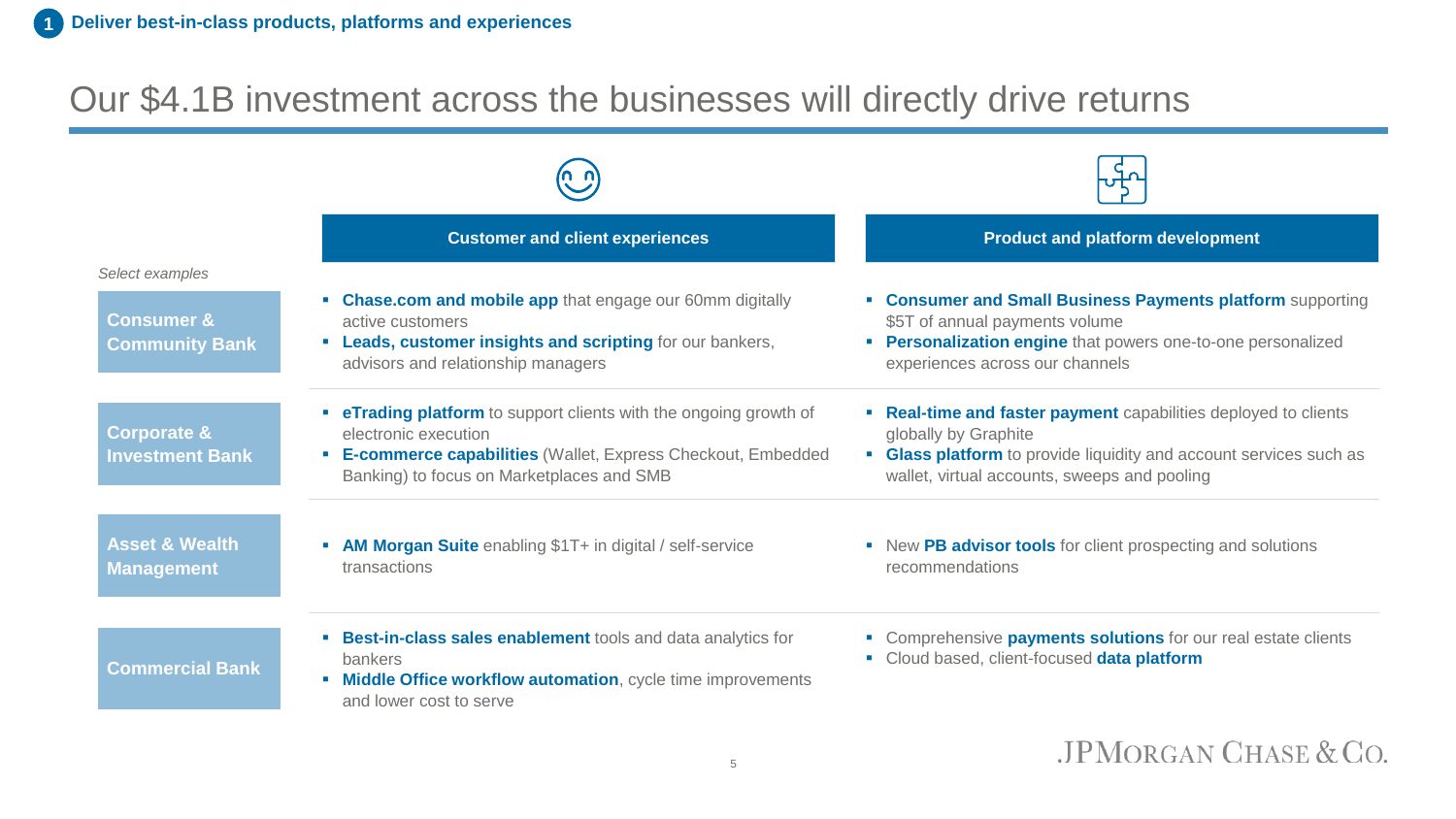#### Our \$4.1B investment across the businesses will directly drive returns

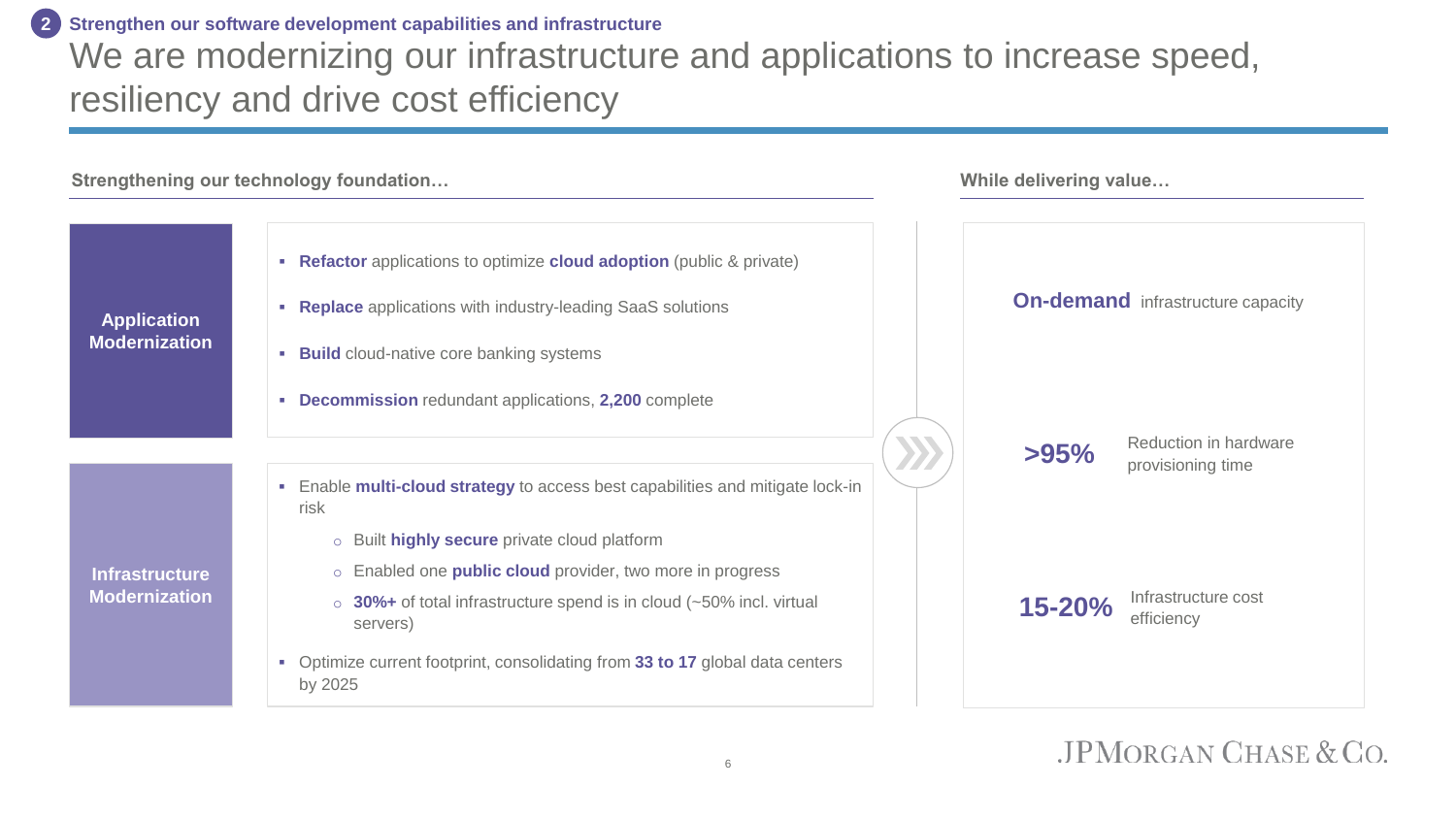#### We are modernizing our infrastructure and applications to increase speed, resiliency and drive cost efficiency **Strengthen our software development capabilities and infrastructure 2**

| Strengthening our technology foundation       |                                                                                                                                                                                                                                                                                                                | While delivering value |                                            |
|-----------------------------------------------|----------------------------------------------------------------------------------------------------------------------------------------------------------------------------------------------------------------------------------------------------------------------------------------------------------------|------------------------|--------------------------------------------|
| <b>Application</b><br><b>Modernization</b>    | • Refactor applications to optimize cloud adoption (public & private)<br>• Replace applications with industry-leading SaaS solutions<br><b>Build</b> cloud-native core banking systems<br>• Decommission redundant applications, 2,200 complete                                                                |                        | <b>On-demand</b> infrastructure capacity   |
|                                               | • Enable multi-cloud strategy to access best capabilities and mitigate lock-in                                                                                                                                                                                                                                 | >95%                   | Reduction in hardware<br>provisioning time |
| <b>Infrastructure</b><br><b>Modernization</b> | risk<br>o Built highly secure private cloud platform<br>○ Enabled one <b>public cloud</b> provider, two more in progress<br>$\circ$ 30%+ of total infrastructure spend is in cloud (~50% incl. virtual<br>servers)<br>• Optimize current footprint, consolidating from 33 to 17 global data centers<br>by 2025 | $15 - 20%$             | Infrastructure cost<br>efficiency          |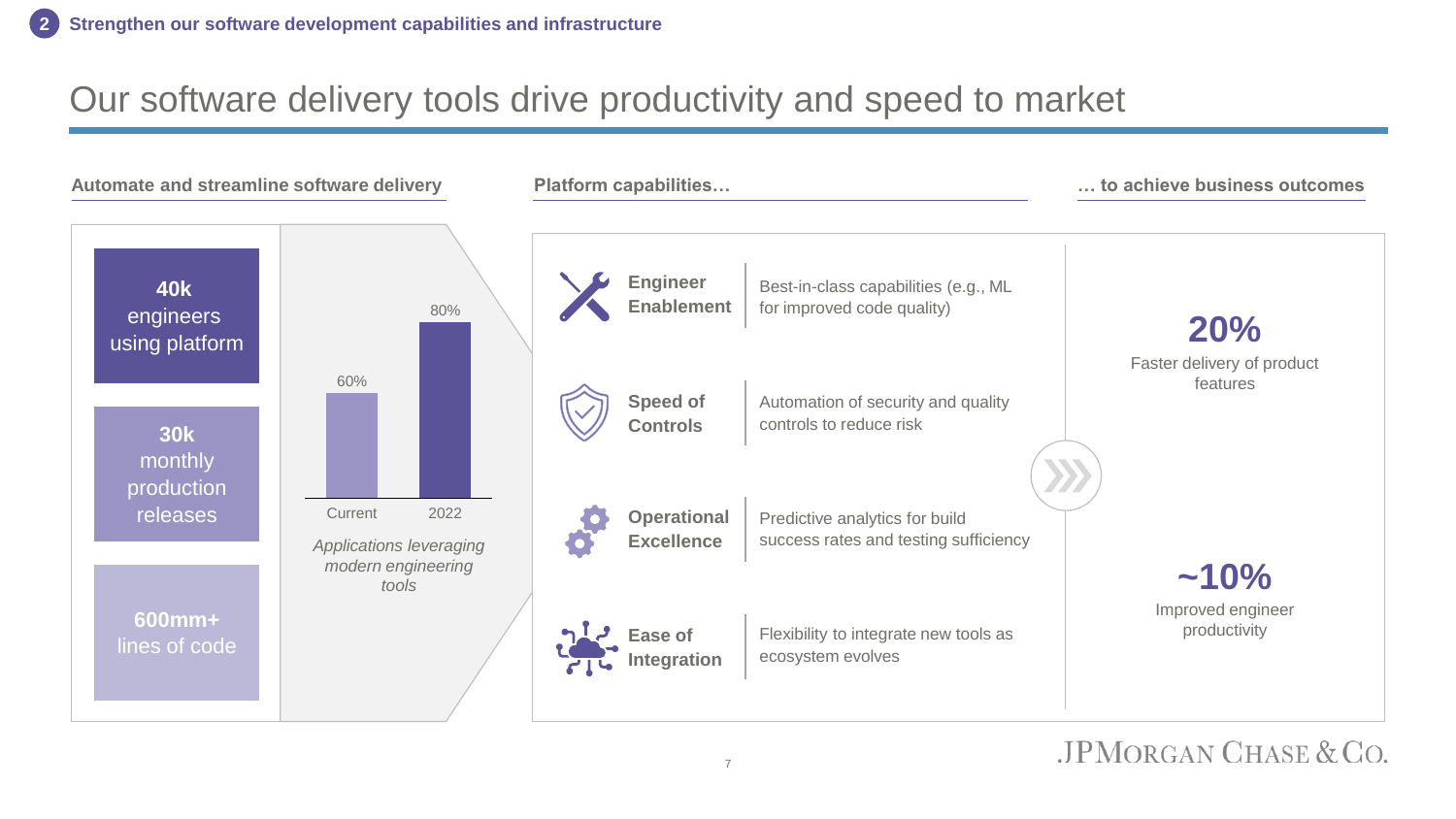#### Our software delivery tools drive productivity and speed to market

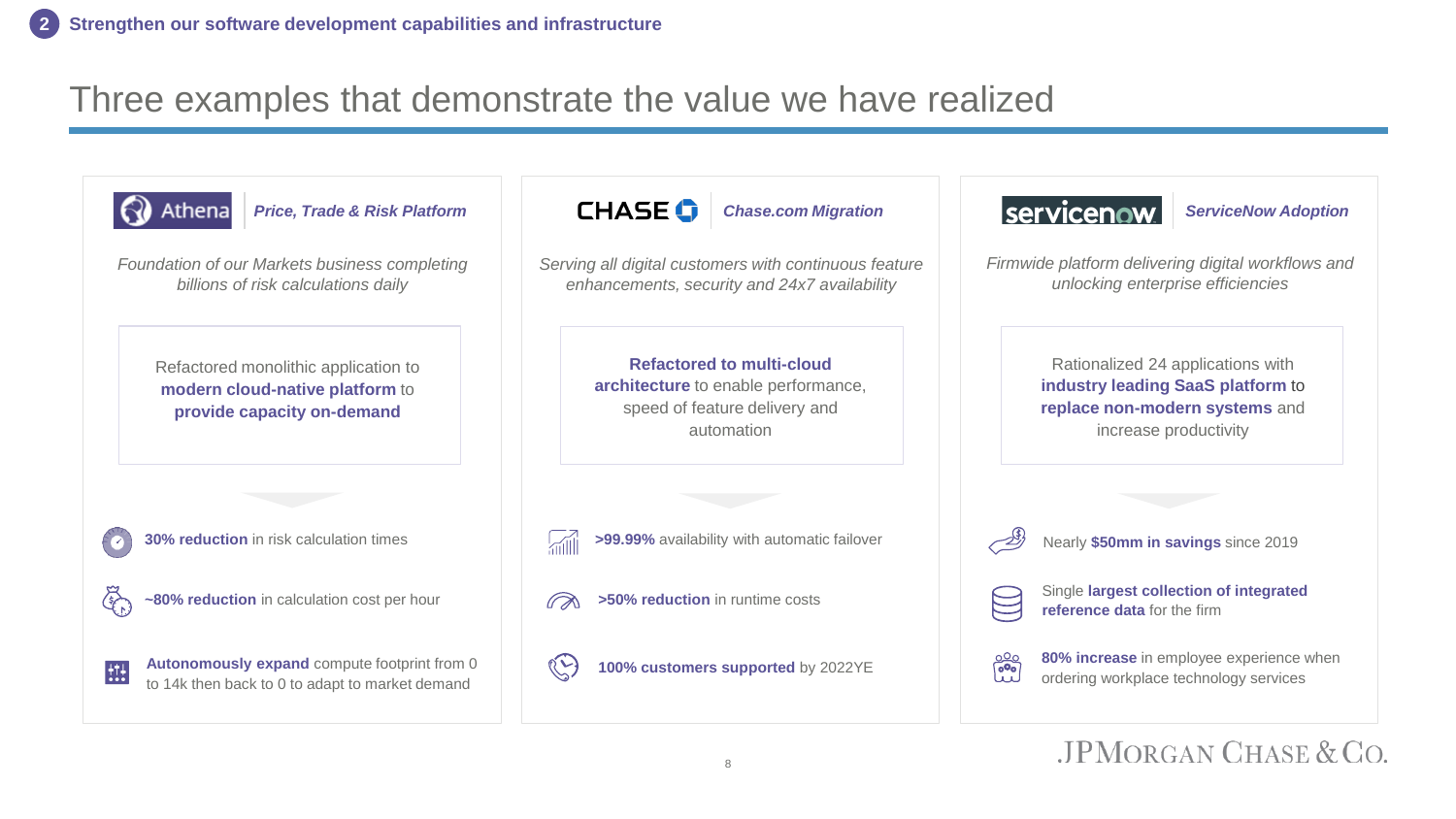#### Three examples that demonstrate the value we have realized

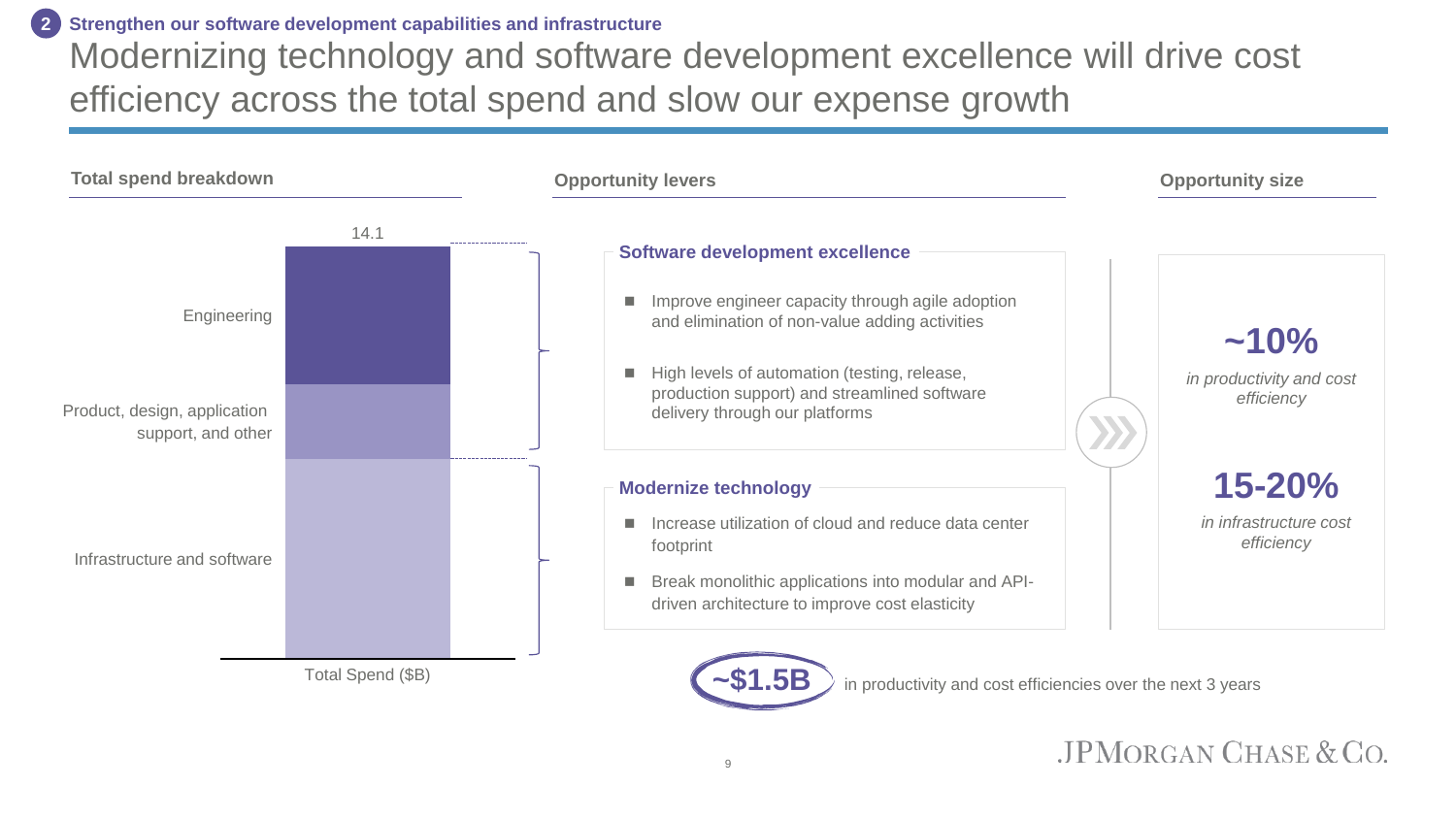Modernizing technology and software development excellence will drive cost efficiency across the total spend and slow our expense growth **Strengthen our software development capabilities and infrastructure 2**

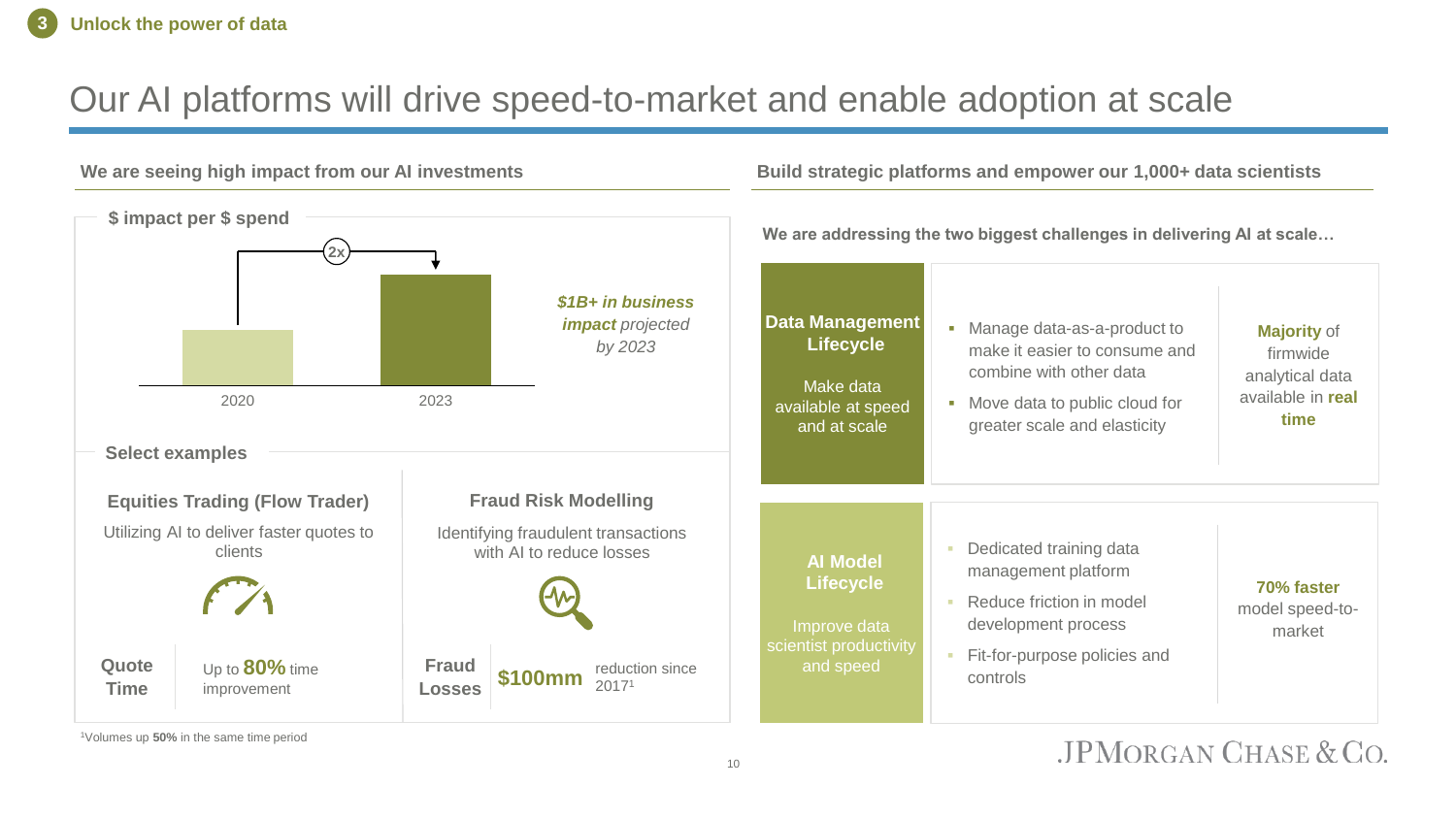#### Our AI platforms will drive speed-to-market and enable adoption at scale

#### **We are seeing high impact from our AI investments** 2020 2023 **2x \$ impact per \$ spend** *\$1B+ in business impact projected by 2023* **Equities Trading (Flow Trader)** Utilizing AI to deliver faster quotes to clients **Select examples Fraud Risk Modelling** Identifying fraudulent transactions with AI to reduce losses Up to **80%** time improvement **Build strategic platforms and empower our 1,000+ data scientists We are addressing the two biggest challenges in delivering AI at scale… Data Management Lifecycle** Make data available at speed and at scale **■** Manage data-as-a-product to make it easier to consume and combine with other data ■ Move data to public cloud for greater scale and elasticity **AI Model Lifecycle** Improve data scientist productivity and speed Dedicated training data management platform **Reduce friction in model** development process Fit-for-purpose policies and controls **Majority** of firmwide analytical data available in **real time 70% faster**  model speed-tomarket reduction since  $$100mm$   $^{+0.000}_{20171}$ **Quote Time Fraud Losses**

<sup>1</sup>Volumes up **50%** in the same time period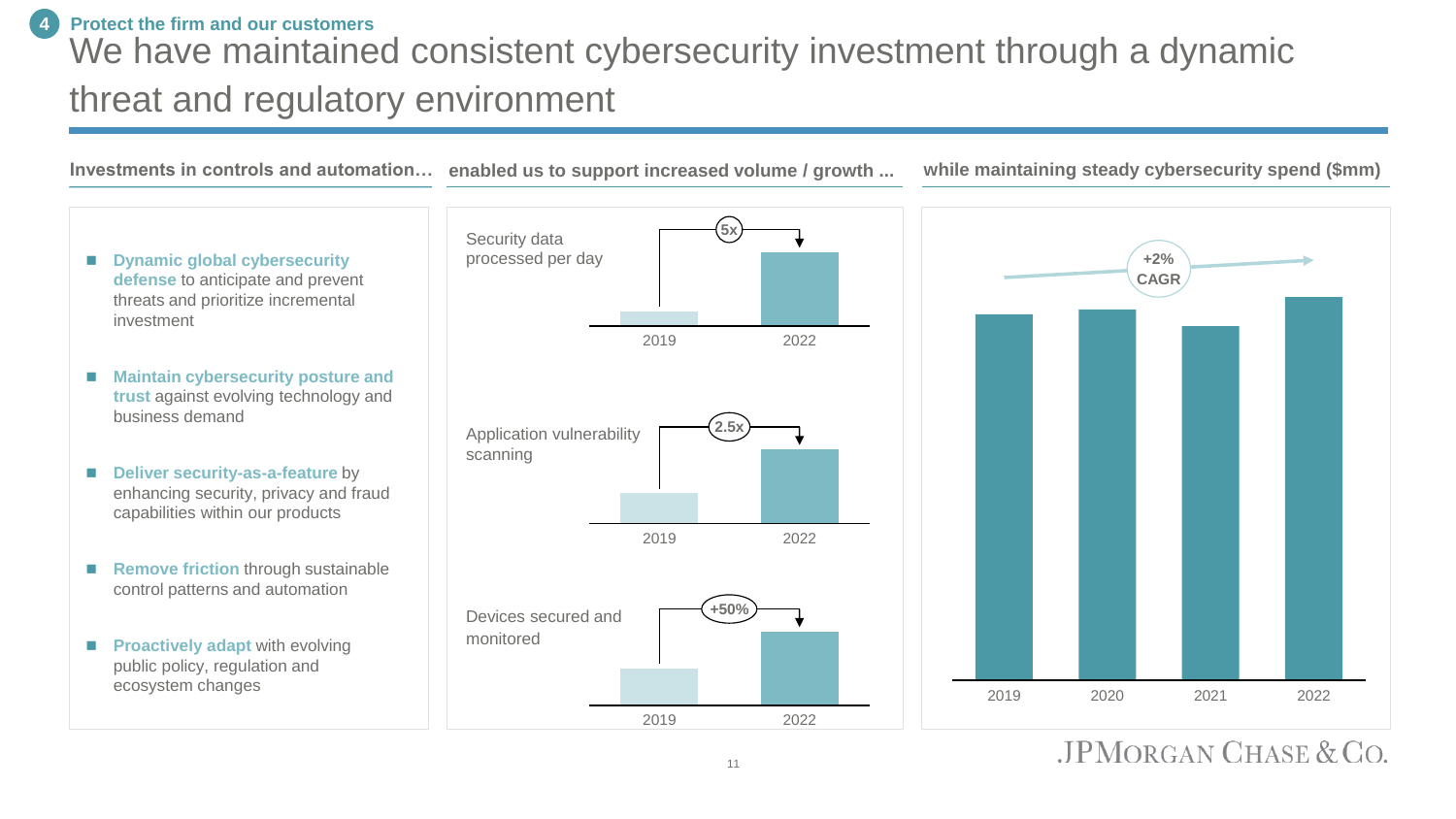#### **4 Protect the firm and our customers**

### We have maintained consistent cybersecurity investment through a dynamic threat and regulatory environment



 $JPMORGAN CHASE & CO.$ 

11